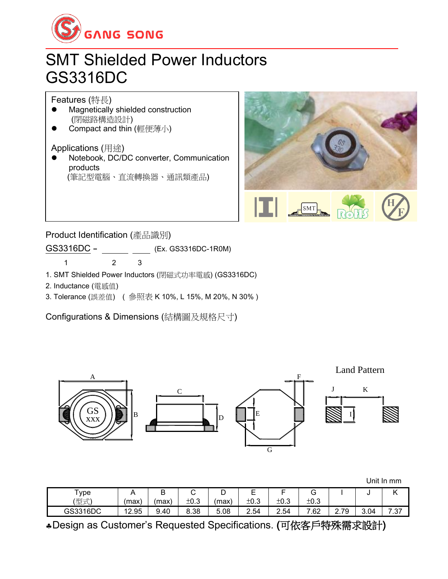

## SMT Shielded Power Inductors GS3316DC

Features (特長)

- ⚫ Magnetically shielded construction (閉磁路構造設計)
- Compact and thin (輕便薄小)

Applications (用途)

⚫ Notebook, DC/DC converter, Communication products (筆記型電腦、直流轉換器、通訊類產品)



Product Identification (產品識別) GS3316DC - (Ex. GS3316DC-1R0M)

1 2 3

- 1. SMT Shielded Power Inductors (閉磁式功率電感) (GS3316DC)
- 2. Inductance (電感值)
- 3. Tolerance (誤差值) ( 參照表 K 10%, L 15%, M 20%, N 30% )

Configurations & Dimensions (結構圖及規格尺寸)



|          |       |      |        |       |          |      |      |                     |      | Unit In mm |
|----------|-------|------|--------|-------|----------|------|------|---------------------|------|------------|
| Туре     |       | B    | ⌒<br>ັ | ◡     | <u>_</u> | -    | G    |                     | u    |            |
| (型式)     | (max  | max) | ±0.3   | (max) | ±0.3     | ±0.3 | ±0.3 |                     |      |            |
| GS3316DC | 12.95 | 9.40 | 8.38   | 5.08  | 2.54     | 2.54 | 7.62 | 79<br>⌒<br><u>.</u> | 3.04 | 7.37       |

Design as Customer's Requested Specifications. (可依客戶特殊需求設計)